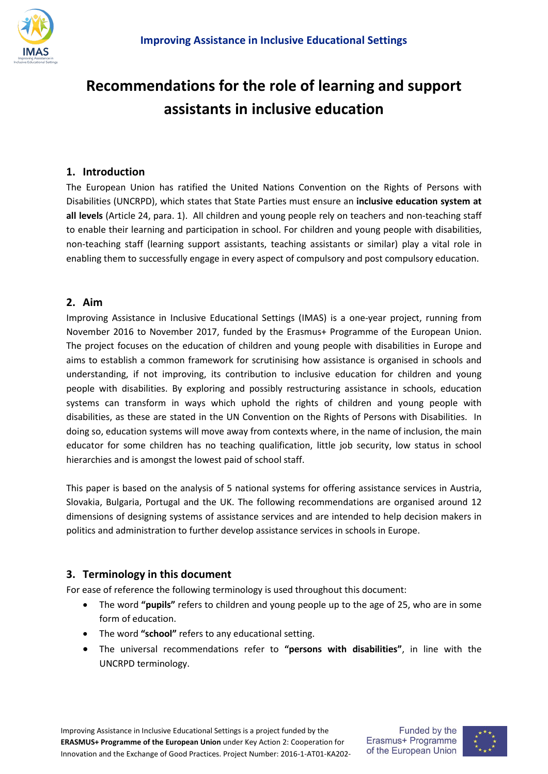

# **Recommendations for the role of learning and support assistants in inclusive education**

#### **1. Introduction**

The European Union has ratified the United Nations Convention on the Rights of Persons with Disabilities (UNCRPD), which states that State Parties must ensure an **inclusive education system at all levels** (Article 24, para. 1). All children and young people rely on teachers and non-teaching staff to enable their learning and participation in school. For children and young people with disabilities, non-teaching staff (learning support assistants, teaching assistants or similar) play a vital role in enabling them to successfully engage in every aspect of compulsory and post compulsory education.

#### **2. Aim**

Improving Assistance in Inclusive Educational Settings (IMAS) is a one-year project, running from November 2016 to November 2017, funded by the Erasmus+ Programme of the European Union. The project focuses on the education of children and young people with disabilities in Europe and aims to establish a common framework for scrutinising how assistance is organised in schools and understanding, if not improving, its contribution to inclusive education for children and young people with disabilities. By exploring and possibly restructuring assistance in schools, education systems can transform in ways which uphold the rights of children and young people with disabilities, as these are stated in the UN Convention on the Rights of Persons with Disabilities. In doing so, education systems will move away from contexts where, in the name of inclusion, the main educator for some children has no teaching qualification, little job security, low status in school hierarchies and is amongst the lowest paid of school staff.

This paper is based on the analysis of 5 national systems for offering assistance services in Austria, Slovakia, Bulgaria, Portugal and the UK. The following recommendations are organised around 12 dimensions of designing systems of assistance services and are intended to help decision makers in politics and administration to further develop assistance services in schools in Europe.

#### **3. Terminology in this document**

For ease of reference the following terminology is used throughout this document:

- The word **"pupils"** refers to children and young people up to the age of 25, who are in some form of education.
- The word **"school"** refers to any educational setting.
- The universal recommendations refer to **"persons with disabilities"**, in line with the UNCRPD terminology.

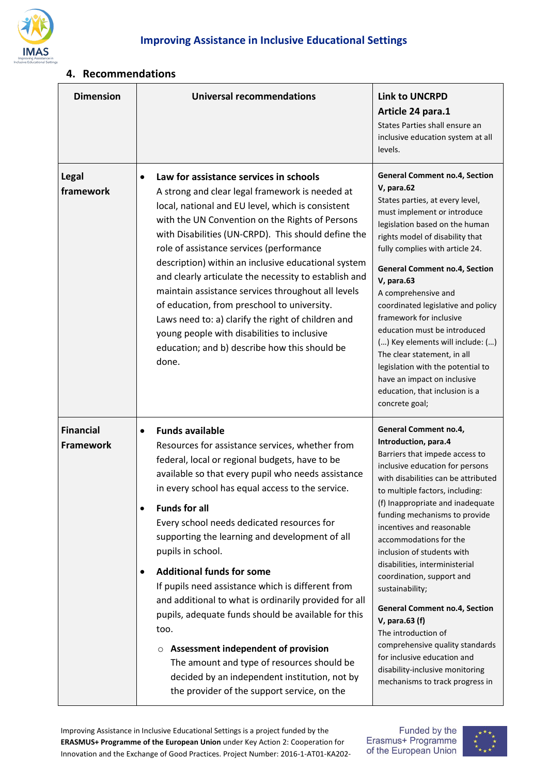

### **4. Recommendations**

| <b>Dimension</b>                     | <b>Universal recommendations</b>                                                                                                                                                                                                                                                                                                                                                                                                                                                                                                                                                                                                                                                                                                                                                                | <b>Link to UNCRPD</b><br>Article 24 para.1<br>States Parties shall ensure an<br>inclusive education system at all<br>levels.                                                                                                                                                                                                                                                                                                                                                                                                                                                                                                                                      |
|--------------------------------------|-------------------------------------------------------------------------------------------------------------------------------------------------------------------------------------------------------------------------------------------------------------------------------------------------------------------------------------------------------------------------------------------------------------------------------------------------------------------------------------------------------------------------------------------------------------------------------------------------------------------------------------------------------------------------------------------------------------------------------------------------------------------------------------------------|-------------------------------------------------------------------------------------------------------------------------------------------------------------------------------------------------------------------------------------------------------------------------------------------------------------------------------------------------------------------------------------------------------------------------------------------------------------------------------------------------------------------------------------------------------------------------------------------------------------------------------------------------------------------|
| <b>Legal</b><br>framework            | Law for assistance services in schools<br>A strong and clear legal framework is needed at<br>local, national and EU level, which is consistent<br>with the UN Convention on the Rights of Persons<br>with Disabilities (UN-CRPD). This should define the<br>role of assistance services (performance<br>description) within an inclusive educational system<br>and clearly articulate the necessity to establish and<br>maintain assistance services throughout all levels<br>of education, from preschool to university.<br>Laws need to: a) clarify the right of children and<br>young people with disabilities to inclusive<br>education; and b) describe how this should be<br>done.                                                                                                        | <b>General Comment no.4, Section</b><br>V, para.62<br>States parties, at every level,<br>must implement or introduce<br>legislation based on the human<br>rights model of disability that<br>fully complies with article 24.<br><b>General Comment no.4, Section</b><br>V, para.63<br>A comprehensive and<br>coordinated legislative and policy<br>framework for inclusive<br>education must be introduced<br>() Key elements will include: ()<br>The clear statement, in all<br>legislation with the potential to<br>have an impact on inclusive<br>education, that inclusion is a<br>concrete goal;                                                             |
| <b>Financial</b><br><b>Framework</b> | <b>Funds available</b><br>Resources for assistance services, whether from<br>federal, local or regional budgets, have to be<br>available so that every pupil who needs assistance<br>in every school has equal access to the service.<br><b>Funds for all</b><br>Every school needs dedicated resources for<br>supporting the learning and development of all<br>pupils in school.<br><b>Additional funds for some</b><br>If pupils need assistance which is different from<br>and additional to what is ordinarily provided for all<br>pupils, adequate funds should be available for this<br>too.<br><b>Assessment independent of provision</b><br>The amount and type of resources should be<br>decided by an independent institution, not by<br>the provider of the support service, on the | General Comment no.4,<br>Introduction, para.4<br>Barriers that impede access to<br>inclusive education for persons<br>with disabilities can be attributed<br>to multiple factors, including:<br>(f) Inappropriate and inadequate<br>funding mechanisms to provide<br>incentives and reasonable<br>accommodations for the<br>inclusion of students with<br>disabilities, interministerial<br>coordination, support and<br>sustainability;<br><b>General Comment no.4, Section</b><br>V, para.63 (f)<br>The introduction of<br>comprehensive quality standards<br>for inclusive education and<br>disability-inclusive monitoring<br>mechanisms to track progress in |

Improving Assistance in Inclusive Educational Settings is a project funded by the **ERASMUS+ Programme of the European Union** under Key Action 2: Cooperation for Innovation and the Exchange of Good Practices. Project Number: 2016-1-AT01-KA202Funded by the<br>Erasmus+ Programme of the European Union

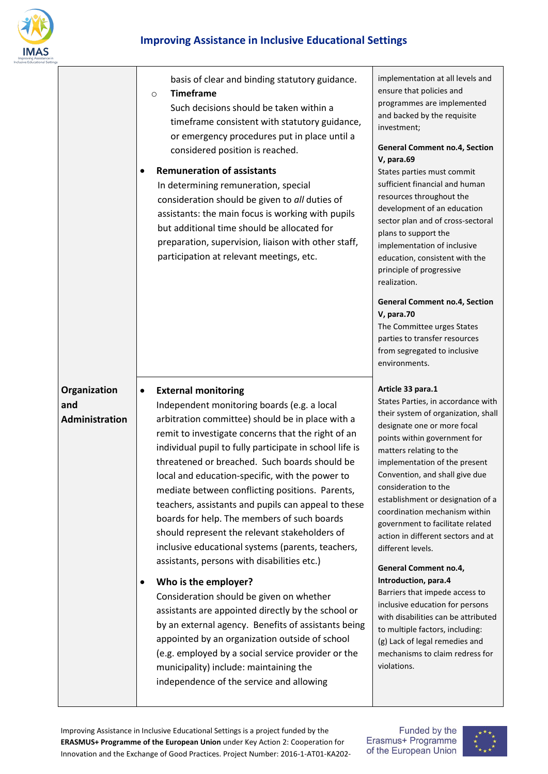

|                                              | basis of clear and binding statutory guidance.<br><b>Timeframe</b><br>$\circ$<br>Such decisions should be taken within a<br>timeframe consistent with statutory guidance,<br>or emergency procedures put in place until a<br>considered position is reached.<br><b>Remuneration of assistants</b><br>In determining remuneration, special<br>consideration should be given to all duties of<br>assistants: the main focus is working with pupils<br>but additional time should be allocated for<br>preparation, supervision, liaison with other staff,<br>participation at relevant meetings, etc.                                                                                                                                                                                                                                                                                                                                                                                                                                                                        | implementation at all levels and<br>ensure that policies and<br>programmes are implemented<br>and backed by the requisite<br>investment;<br><b>General Comment no.4, Section</b><br>V, para.69<br>States parties must commit<br>sufficient financial and human<br>resources throughout the<br>development of an education<br>sector plan and of cross-sectoral<br>plans to support the<br>implementation of inclusive<br>education, consistent with the<br>principle of progressive<br>realization.<br><b>General Comment no.4, Section</b><br><b>V</b> , para.70<br>The Committee urges States                                                                                                                                              |
|----------------------------------------------|---------------------------------------------------------------------------------------------------------------------------------------------------------------------------------------------------------------------------------------------------------------------------------------------------------------------------------------------------------------------------------------------------------------------------------------------------------------------------------------------------------------------------------------------------------------------------------------------------------------------------------------------------------------------------------------------------------------------------------------------------------------------------------------------------------------------------------------------------------------------------------------------------------------------------------------------------------------------------------------------------------------------------------------------------------------------------|----------------------------------------------------------------------------------------------------------------------------------------------------------------------------------------------------------------------------------------------------------------------------------------------------------------------------------------------------------------------------------------------------------------------------------------------------------------------------------------------------------------------------------------------------------------------------------------------------------------------------------------------------------------------------------------------------------------------------------------------|
|                                              |                                                                                                                                                                                                                                                                                                                                                                                                                                                                                                                                                                                                                                                                                                                                                                                                                                                                                                                                                                                                                                                                           | parties to transfer resources<br>from segregated to inclusive<br>environments.                                                                                                                                                                                                                                                                                                                                                                                                                                                                                                                                                                                                                                                               |
| Organization<br>and<br><b>Administration</b> | <b>External monitoring</b><br>$\bullet$<br>Independent monitoring boards (e.g. a local<br>arbitration committee) should be in place with a<br>remit to investigate concerns that the right of an<br>individual pupil to fully participate in school life is<br>threatened or breached. Such boards should be<br>local and education-specific, with the power to<br>mediate between conflicting positions. Parents,<br>teachers, assistants and pupils can appeal to these<br>boards for help. The members of such boards<br>should represent the relevant stakeholders of<br>inclusive educational systems (parents, teachers,<br>assistants, persons with disabilities etc.)<br>Who is the employer?<br>$\bullet$<br>Consideration should be given on whether<br>assistants are appointed directly by the school or<br>by an external agency. Benefits of assistants being<br>appointed by an organization outside of school<br>(e.g. employed by a social service provider or the<br>municipality) include: maintaining the<br>independence of the service and allowing | Article 33 para.1<br>States Parties, in accordance with<br>their system of organization, shall<br>designate one or more focal<br>points within government for<br>matters relating to the<br>implementation of the present<br>Convention, and shall give due<br>consideration to the<br>establishment or designation of a<br>coordination mechanism within<br>government to facilitate related<br>action in different sectors and at<br>different levels.<br>General Comment no.4,<br>Introduction, para.4<br>Barriers that impede access to<br>inclusive education for persons<br>with disabilities can be attributed<br>to multiple factors, including:<br>(g) Lack of legal remedies and<br>mechanisms to claim redress for<br>violations. |

Funded by the<br>Erasmus+ Programme<br>of the European Union

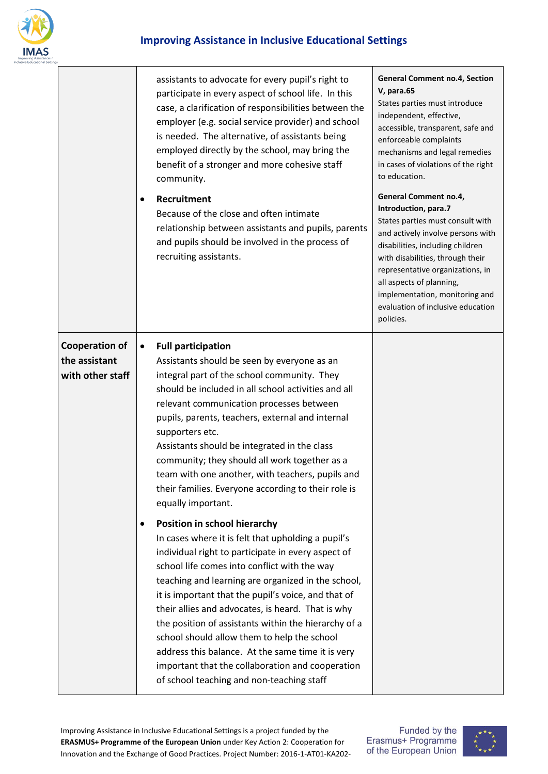

## **Improving Assistance in Inclusive Educational Settings**

|                                                            | assistants to advocate for every pupil's right to<br>participate in every aspect of school life. In this<br>case, a clarification of responsibilities between the<br>employer (e.g. social service provider) and school<br>is needed. The alternative, of assistants being<br>employed directly by the school, may bring the<br>benefit of a stronger and more cohesive staff<br>community.<br>Recruitment<br>$\bullet$<br>Because of the close and often intimate<br>relationship between assistants and pupils, parents<br>and pupils should be involved in the process of<br>recruiting assistants.                               | <b>General Comment no.4, Section</b><br><b>V, para.65</b><br>States parties must introduce<br>independent, effective,<br>accessible, transparent, safe and<br>enforceable complaints<br>mechanisms and legal remedies<br>in cases of violations of the right<br>to education.<br>General Comment no.4,<br>Introduction, para.7<br>States parties must consult with<br>and actively involve persons with<br>disabilities, including children<br>with disabilities, through their<br>representative organizations, in<br>all aspects of planning,<br>implementation, monitoring and<br>evaluation of inclusive education<br>policies. |
|------------------------------------------------------------|--------------------------------------------------------------------------------------------------------------------------------------------------------------------------------------------------------------------------------------------------------------------------------------------------------------------------------------------------------------------------------------------------------------------------------------------------------------------------------------------------------------------------------------------------------------------------------------------------------------------------------------|-------------------------------------------------------------------------------------------------------------------------------------------------------------------------------------------------------------------------------------------------------------------------------------------------------------------------------------------------------------------------------------------------------------------------------------------------------------------------------------------------------------------------------------------------------------------------------------------------------------------------------------|
| <b>Cooperation of</b><br>the assistant<br>with other staff | <b>Full participation</b><br>$\bullet$<br>Assistants should be seen by everyone as an<br>integral part of the school community. They<br>should be included in all school activities and all<br>relevant communication processes between<br>pupils, parents, teachers, external and internal<br>supporters etc.<br>Assistants should be integrated in the class<br>community; they should all work together as a<br>team with one another, with teachers, pupils and<br>their families. Everyone according to their role is<br>equally important.                                                                                     |                                                                                                                                                                                                                                                                                                                                                                                                                                                                                                                                                                                                                                     |
|                                                            | Position in school hierarchy<br>$\bullet$<br>In cases where it is felt that upholding a pupil's<br>individual right to participate in every aspect of<br>school life comes into conflict with the way<br>teaching and learning are organized in the school,<br>it is important that the pupil's voice, and that of<br>their allies and advocates, is heard. That is why<br>the position of assistants within the hierarchy of a<br>school should allow them to help the school<br>address this balance. At the same time it is very<br>important that the collaboration and cooperation<br>of school teaching and non-teaching staff |                                                                                                                                                                                                                                                                                                                                                                                                                                                                                                                                                                                                                                     |

Improving Assistance in Inclusive Educational Settings is a project funded by the **ERASMUS+ Programme of the European Union** under Key Action 2: Cooperation for Innovation and the Exchange of Good Practices. Project Number: 2016-1-AT01-KA202-

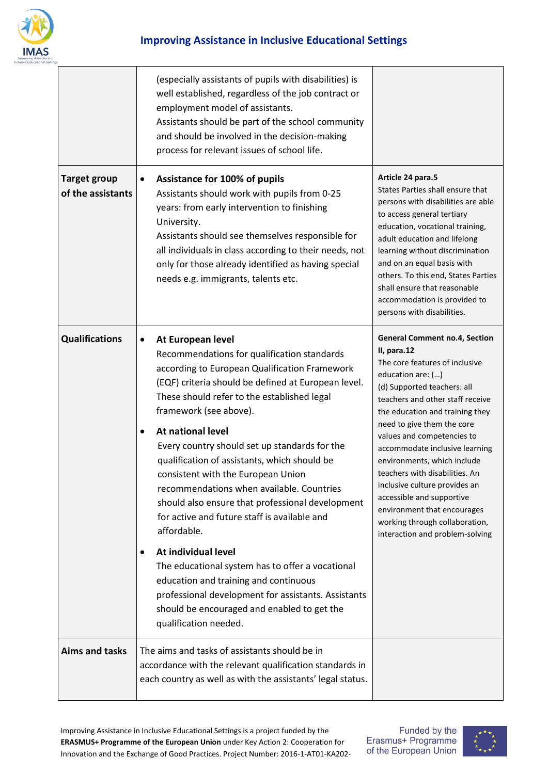

|                                          | (especially assistants of pupils with disabilities) is<br>well established, regardless of the job contract or<br>employment model of assistants.<br>Assistants should be part of the school community<br>and should be involved in the decision-making<br>process for relevant issues of school life.                                                                                                                                                                                                                                                                                                                                                                                                                                                                                                                                                                   |                                                                                                                                                                                                                                                                                                                                                                                                                                                                                                                                                   |
|------------------------------------------|-------------------------------------------------------------------------------------------------------------------------------------------------------------------------------------------------------------------------------------------------------------------------------------------------------------------------------------------------------------------------------------------------------------------------------------------------------------------------------------------------------------------------------------------------------------------------------------------------------------------------------------------------------------------------------------------------------------------------------------------------------------------------------------------------------------------------------------------------------------------------|---------------------------------------------------------------------------------------------------------------------------------------------------------------------------------------------------------------------------------------------------------------------------------------------------------------------------------------------------------------------------------------------------------------------------------------------------------------------------------------------------------------------------------------------------|
| <b>Target group</b><br>of the assistants | <b>Assistance for 100% of pupils</b><br>$\bullet$<br>Assistants should work with pupils from 0-25<br>years: from early intervention to finishing<br>University.<br>Assistants should see themselves responsible for<br>all individuals in class according to their needs, not<br>only for those already identified as having special<br>needs e.g. immigrants, talents etc.                                                                                                                                                                                                                                                                                                                                                                                                                                                                                             | Article 24 para.5<br>States Parties shall ensure that<br>persons with disabilities are able<br>to access general tertiary<br>education, vocational training,<br>adult education and lifelong<br>learning without discrimination<br>and on an equal basis with<br>others. To this end, States Parties<br>shall ensure that reasonable<br>accommodation is provided to<br>persons with disabilities.                                                                                                                                                |
| <b>Qualifications</b>                    | At European level<br>$\bullet$<br>Recommendations for qualification standards<br>according to European Qualification Framework<br>(EQF) criteria should be defined at European level.<br>These should refer to the established legal<br>framework (see above).<br>At national level<br>$\bullet$<br>Every country should set up standards for the<br>qualification of assistants, which should be<br>consistent with the European Union<br>recommendations when available. Countries<br>should also ensure that professional development<br>for active and future staff is available and<br>affordable.<br>At individual level<br>$\bullet$<br>The educational system has to offer a vocational<br>education and training and continuous<br>professional development for assistants. Assistants<br>should be encouraged and enabled to get the<br>qualification needed. | <b>General Comment no.4, Section</b><br>II, para.12<br>The core features of inclusive<br>education are: ()<br>(d) Supported teachers: all<br>teachers and other staff receive<br>the education and training they<br>need to give them the core<br>values and competencies to<br>accommodate inclusive learning<br>environments, which include<br>teachers with disabilities. An<br>inclusive culture provides an<br>accessible and supportive<br>environment that encourages<br>working through collaboration,<br>interaction and problem-solving |
| <b>Aims and tasks</b>                    | The aims and tasks of assistants should be in<br>accordance with the relevant qualification standards in<br>each country as well as with the assistants' legal status.                                                                                                                                                                                                                                                                                                                                                                                                                                                                                                                                                                                                                                                                                                  |                                                                                                                                                                                                                                                                                                                                                                                                                                                                                                                                                   |

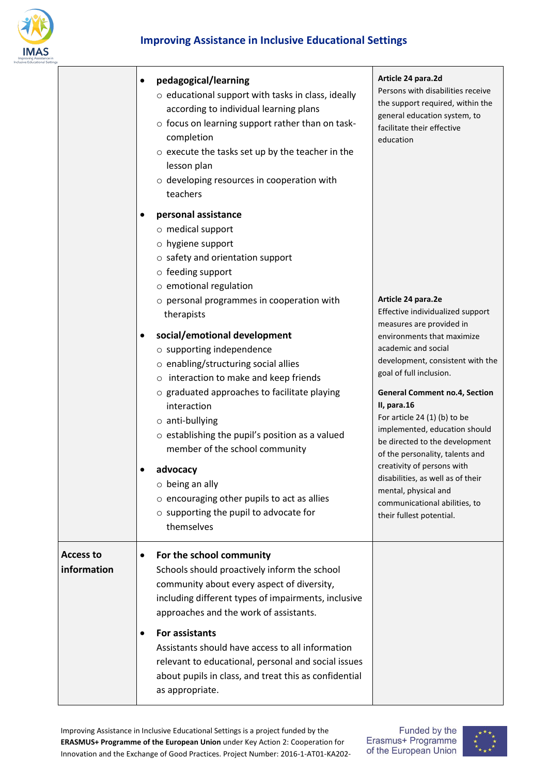

|                                 | pedagogical/learning<br>$\bullet$<br>o educational support with tasks in class, ideally<br>according to individual learning plans<br>o focus on learning support rather than on task-<br>completion<br>$\circ$ execute the tasks set up by the teacher in the<br>lesson plan<br>o developing resources in cooperation with<br>teachers                                                                                                                     | Article 24 para.2d<br>Persons with disabilities receive<br>the support required, within the<br>general education system, to<br>facilitate their effective<br>education                                                                                                                                     |
|---------------------------------|------------------------------------------------------------------------------------------------------------------------------------------------------------------------------------------------------------------------------------------------------------------------------------------------------------------------------------------------------------------------------------------------------------------------------------------------------------|------------------------------------------------------------------------------------------------------------------------------------------------------------------------------------------------------------------------------------------------------------------------------------------------------------|
|                                 | personal assistance<br>o medical support<br>o hygiene support<br>$\circ$ safety and orientation support<br>o feeding support<br>o emotional regulation<br>o personal programmes in cooperation with<br>therapists<br>social/emotional development<br>٠<br>o supporting independence<br>o enabling/structuring social allies<br>o interaction to make and keep friends<br>o graduated approaches to facilitate playing                                      | Article 24 para.2e<br>Effective individualized support<br>measures are provided in<br>environments that maximize<br>academic and social<br>development, consistent with the<br>goal of full inclusion.<br><b>General Comment no.4, Section</b>                                                             |
|                                 | interaction<br>$\circ$ anti-bullying<br>$\circ$ establishing the pupil's position as a valued<br>member of the school community<br>advocacy<br>$\circ$ being an ally<br>$\circ$ encouraging other pupils to act as allies<br>$\circ$ supporting the pupil to advocate for<br>themselves                                                                                                                                                                    | II, para.16<br>For article $24(1)$ (b) to be<br>implemented, education should<br>be directed to the development<br>of the personality, talents and<br>creativity of persons with<br>disabilities, as well as of their<br>mental, physical and<br>communicational abilities, to<br>their fullest potential. |
| <b>Access to</b><br>information | For the school community<br>$\bullet$<br>Schools should proactively inform the school<br>community about every aspect of diversity,<br>including different types of impairments, inclusive<br>approaches and the work of assistants.<br>For assistants<br>$\bullet$<br>Assistants should have access to all information<br>relevant to educational, personal and social issues<br>about pupils in class, and treat this as confidential<br>as appropriate. |                                                                                                                                                                                                                                                                                                            |

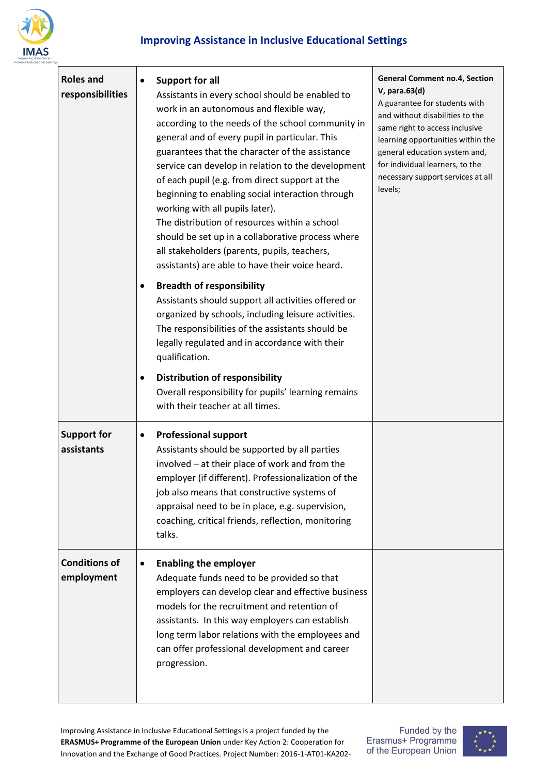

| <b>Roles and</b><br>responsibilities | <b>Support for all</b><br>$\bullet$<br>Assistants in every school should be enabled to<br>work in an autonomous and flexible way,<br>according to the needs of the school community in<br>general and of every pupil in particular. This<br>guarantees that the character of the assistance<br>service can develop in relation to the development<br>of each pupil (e.g. from direct support at the<br>beginning to enabling social interaction through<br>working with all pupils later).<br>The distribution of resources within a school<br>should be set up in a collaborative process where<br>all stakeholders (parents, pupils, teachers,<br>assistants) are able to have their voice heard.<br><b>Breadth of responsibility</b><br>Assistants should support all activities offered or<br>organized by schools, including leisure activities.<br>The responsibilities of the assistants should be<br>legally regulated and in accordance with their<br>qualification.<br><b>Distribution of responsibility</b><br>$\bullet$<br>Overall responsibility for pupils' learning remains<br>with their teacher at all times. | <b>General Comment no.4, Section</b><br>V, para.63(d)<br>A guarantee for students with<br>and without disabilities to the<br>same right to access inclusive<br>learning opportunities within the<br>general education system and,<br>for individual learners, to the<br>necessary support services at all<br>levels; |
|--------------------------------------|--------------------------------------------------------------------------------------------------------------------------------------------------------------------------------------------------------------------------------------------------------------------------------------------------------------------------------------------------------------------------------------------------------------------------------------------------------------------------------------------------------------------------------------------------------------------------------------------------------------------------------------------------------------------------------------------------------------------------------------------------------------------------------------------------------------------------------------------------------------------------------------------------------------------------------------------------------------------------------------------------------------------------------------------------------------------------------------------------------------------------------|----------------------------------------------------------------------------------------------------------------------------------------------------------------------------------------------------------------------------------------------------------------------------------------------------------------------|
| <b>Support for</b><br>assistants     | <b>Professional support</b><br>$\bullet$<br>Assistants should be supported by all parties<br>involved - at their place of work and from the<br>employer (if different). Professionalization of the<br>job also means that constructive systems of<br>appraisal need to be in place, e.g. supervision,<br>coaching, critical friends, reflection, monitoring<br>talks.                                                                                                                                                                                                                                                                                                                                                                                                                                                                                                                                                                                                                                                                                                                                                          |                                                                                                                                                                                                                                                                                                                      |
| <b>Conditions of</b><br>employment   | <b>Enabling the employer</b><br>$\bullet$<br>Adequate funds need to be provided so that<br>employers can develop clear and effective business<br>models for the recruitment and retention of<br>assistants. In this way employers can establish<br>long term labor relations with the employees and<br>can offer professional development and career<br>progression.                                                                                                                                                                                                                                                                                                                                                                                                                                                                                                                                                                                                                                                                                                                                                           |                                                                                                                                                                                                                                                                                                                      |

Funded by the Erasmus+ Programme of the European Union